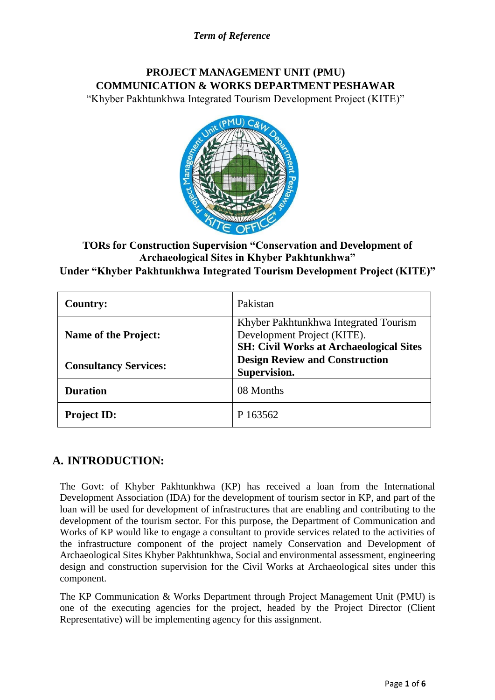# **PROJECT MANAGEMENT UNIT (PMU) COMMUNICATION & WORKS DEPARTMENT PESHAWAR**

"Khyber Pakhtunkhwa Integrated Tourism Development Project (KITE)"



**TORs for Construction Supervision "Conservation and Development of Archaeological Sites in Khyber Pakhtunkhwa" Under "Khyber Pakhtunkhwa Integrated Tourism Development Project (KITE)"**

| <b>Country:</b>              | Pakistan                                                                                                               |  |
|------------------------------|------------------------------------------------------------------------------------------------------------------------|--|
| <b>Name of the Project:</b>  | Khyber Pakhtunkhwa Integrated Tourism<br>Development Project (KITE).<br><b>SH: Civil Works at Archaeological Sites</b> |  |
| <b>Consultancy Services:</b> | <b>Design Review and Construction</b><br>Supervision.                                                                  |  |
| <b>Duration</b>              | 08 Months                                                                                                              |  |
| <b>Project ID:</b>           | P 163562                                                                                                               |  |

# **A. INTRODUCTION:**

The Govt: of Khyber Pakhtunkhwa (KP) has received a loan from the International Development Association (IDA) for the development of tourism sector in KP, and part of the loan will be used for development of infrastructures that are enabling and contributing to the development of the tourism sector. For this purpose, the Department of Communication and Works of KP would like to engage a consultant to provide services related to the activities of the infrastructure component of the project namely Conservation and Development of Archaeological Sites Khyber Pakhtunkhwa, Social and environmental assessment, engineering design and construction supervision for the Civil Works at Archaeological sites under this component.

The KP Communication & Works Department through Project Management Unit (PMU) is one of the executing agencies for the project, headed by the Project Director (Client Representative) will be implementing agency for this assignment.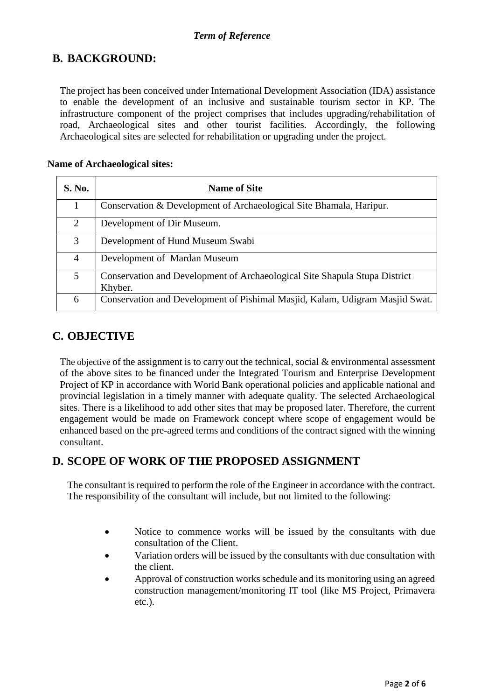# **B. BACKGROUND:**

The project has been conceived under International Development Association (IDA) assistance to enable the development of an inclusive and sustainable tourism sector in KP. The infrastructure component of the project comprises that includes upgrading/rehabilitation of road, Archaeological sites and other tourist facilities. Accordingly, the following Archaeological sites are selected for rehabilitation or upgrading under the project.

#### **Name of Archaeological sites:**

| S. No.         | <b>Name of Site</b>                                                                   |
|----------------|---------------------------------------------------------------------------------------|
|                | Conservation & Development of Archaeological Site Bhamala, Haripur.                   |
| $\overline{2}$ | Development of Dir Museum.                                                            |
| 3              | Development of Hund Museum Swabi                                                      |
| 4              | Development of Mardan Museum                                                          |
| 5              | Conservation and Development of Archaeological Site Shapula Stupa District<br>Khyber. |
| 6              | Conservation and Development of Pishimal Masjid, Kalam, Udigram Masjid Swat.          |

# **C. OBJECTIVE**

The objective of the assignment is to carry out the technical, social & environmental assessment of the above sites to be financed under the Integrated Tourism and Enterprise Development Project of KP in accordance with World Bank operational policies and applicable national and provincial legislation in a timely manner with adequate quality. The selected Archaeological sites. There is a likelihood to add other sites that may be proposed later. Therefore, the current engagement would be made on Framework concept where scope of engagement would be enhanced based on the pre-agreed terms and conditions of the contract signed with the winning consultant.

# **D. SCOPE OF WORK OF THE PROPOSED ASSIGNMENT**

The consultant is required to perform the role of the Engineer in accordance with the contract. The responsibility of the consultant will include, but not limited to the following:

- Notice to commence works will be issued by the consultants with due consultation of the Client.
- Variation orders will be issued by the consultants with due consultation with the client.
- Approval of construction works schedule and its monitoring using an agreed construction management/monitoring IT tool (like MS Project, Primavera etc.).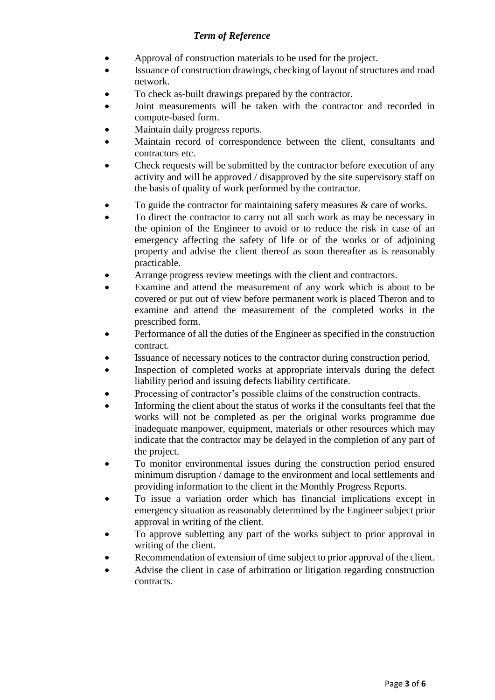- Approval of construction materials to be used for the project.
- Issuance of construction drawings, checking of layout of structures and road network.
- To check as-built drawings prepared by the contractor.
- Joint measurements will be taken with the contractor and recorded in compute-based form.
- Maintain daily progress reports.
- Maintain record of correspondence between the client, consultants and contractors etc.
- Check requests will be submitted by the contractor before execution of any activity and will be approved / disapproved by the site supervisory staff on the basis of quality of work performed by the contractor.
- To guide the contractor for maintaining safety measures & care of works.
- To direct the contractor to carry out all such work as may be necessary in the opinion of the Engineer to avoid or to reduce the risk in case of an emergency affecting the safety of life or of the works or of adjoining property and advise the client thereof as soon thereafter as is reasonably practicable.
- Arrange progress review meetings with the client and contractors.
- Examine and attend the measurement of any work which is about to be covered or put out of view before permanent work is placed Theron and to examine and attend the measurement of the completed works in the prescribed form.
- Performance of all the duties of the Engineer as specified in the construction contract.
- Issuance of necessary notices to the contractor during construction period.
- Inspection of completed works at appropriate intervals during the defect liability period and issuing defects liability certificate.
- Processing of contractor's possible claims of the construction contracts.
- Informing the client about the status of works if the consultants feel that the works will not be completed as per the original works programme due inadequate manpower, equipment, materials or other resources which may indicate that the contractor may be delayed in the completion of any part of the project.
- To monitor environmental issues during the construction period ensured minimum disruption / damage to the environment and local settlements and providing information to the client in the Monthly Progress Reports.
- To issue a variation order which has financial implications except in emergency situation as reasonably determined by the Engineer subject prior approval in writing of the client.
- To approve subletting any part of the works subject to prior approval in writing of the client.
- Recommendation of extension of time subject to prior approval of the client.
- Advise the client in case of arbitration or litigation regarding construction contracts.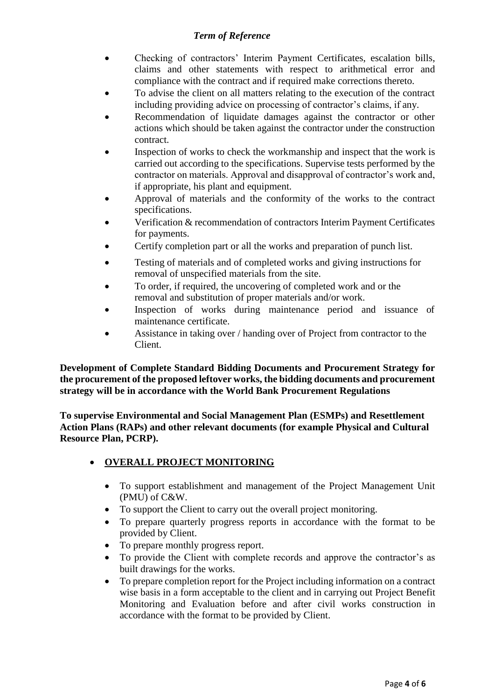- Checking of contractors' Interim Payment Certificates, escalation bills, claims and other statements with respect to arithmetical error and compliance with the contract and if required make corrections thereto.
- To advise the client on all matters relating to the execution of the contract including providing advice on processing of contractor's claims, if any.
- Recommendation of liquidate damages against the contractor or other actions which should be taken against the contractor under the construction contract.
- Inspection of works to check the workmanship and inspect that the work is carried out according to the specifications. Supervise tests performed by the contractor on materials. Approval and disapproval of contractor's work and, if appropriate, his plant and equipment.
- Approval of materials and the conformity of the works to the contract specifications.
- Verification & recommendation of contractors Interim Payment Certificates for payments.
- Certify completion part or all the works and preparation of punch list.
- Testing of materials and of completed works and giving instructions for removal of unspecified materials from the site.
- To order, if required, the uncovering of completed work and or the removal and substitution of proper materials and/or work.
- Inspection of works during maintenance period and issuance of maintenance certificate.
- Assistance in taking over / handing over of Project from contractor to the Client.

**Development of Complete Standard Bidding Documents and Procurement Strategy for the procurement of the proposed leftover works, the bidding documents and procurement strategy will be in accordance with the World Bank Procurement Regulations** 

**To supervise Environmental and Social Management Plan (ESMPs) and Resettlement Action Plans (RAPs) and other relevant documents (for example Physical and Cultural Resource Plan, PCRP).**

## **OVERALL PROJECT MONITORING**

- To support establishment and management of the Project Management Unit (PMU) of C&W.
- To support the Client to carry out the overall project monitoring.
- To prepare quarterly progress reports in accordance with the format to be provided by Client.
- To prepare monthly progress report.
- To provide the Client with complete records and approve the contractor's as built drawings for the works.
- To prepare completion report for the Project including information on a contract wise basis in a form acceptable to the client and in carrying out Project Benefit Monitoring and Evaluation before and after civil works construction in accordance with the format to be provided by Client.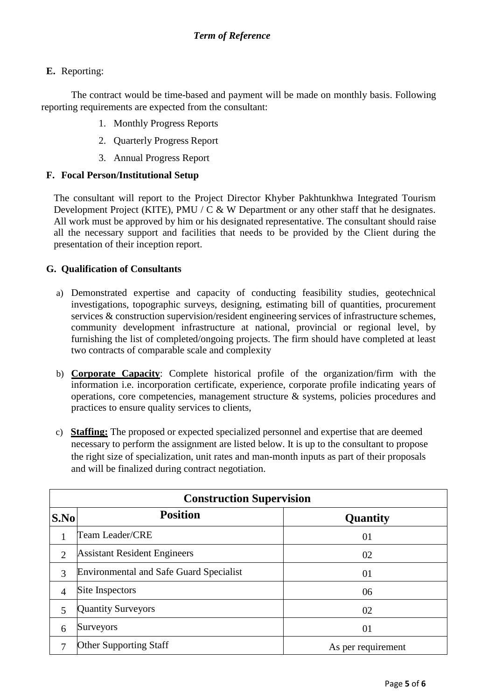### **E.** Reporting:

The contract would be time-based and payment will be made on monthly basis. Following reporting requirements are expected from the consultant:

- 1. Monthly Progress Reports
- 2. Quarterly Progress Report
- 3. Annual Progress Report

#### **F. Focal Person/Institutional Setup**

The consultant will report to the Project Director Khyber Pakhtunkhwa Integrated Tourism Development Project (KITE), PMU / C & W Department or any other staff that he designates. All work must be approved by him or his designated representative. The consultant should raise all the necessary support and facilities that needs to be provided by the Client during the presentation of their inception report.

#### **G. Qualification of Consultants**

- a) Demonstrated expertise and capacity of conducting feasibility studies, geotechnical investigations, topographic surveys, designing, estimating bill of quantities, procurement services & construction supervision/resident engineering services of infrastructure schemes, community development infrastructure at national, provincial or regional level, by furnishing the list of completed/ongoing projects. The firm should have completed at least two contracts of comparable scale and complexity
- b) **Corporate Capacity**: Complete historical profile of the organization/firm with the information i.e. incorporation certificate, experience, corporate profile indicating years of operations, core competencies, management structure & systems, policies procedures and practices to ensure quality services to clients,
- c) **Staffing:** The proposed or expected specialized personnel and expertise that are deemed necessary to perform the assignment are listed below. It is up to the consultant to propose the right size of specialization, unit rates and man-month inputs as part of their proposals and will be finalized during contract negotiation.

| <b>Construction Supervision</b> |                                                |                    |
|---------------------------------|------------------------------------------------|--------------------|
| S.No                            | <b>Position</b>                                | Quantity           |
|                                 | Team Leader/CRE                                | 01                 |
| $\overline{2}$                  | <b>Assistant Resident Engineers</b>            | 02                 |
| 3                               | <b>Environmental and Safe Guard Specialist</b> | 01                 |
| $\overline{4}$                  | Site Inspectors                                | 06                 |
| 5                               | <b>Quantity Surveyors</b>                      | 02                 |
| 6                               | Surveyors                                      | 01                 |
| 7                               | <b>Other Supporting Staff</b>                  | As per requirement |